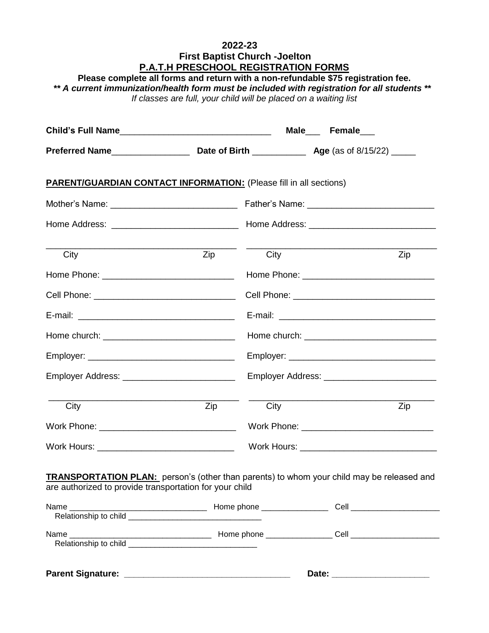#### **2022-23 First Baptist Church -Joelton P.A.T.H PRESCHOOL REGISTRATION FORMS**

**Please complete all forms and return with a non-refundable \$75 registration fee.**  *\*\* A current immunization/health form must be included with registration for all students \*\* If classes are full, your child will be placed on a waiting list*

|                                                                                                                                                             |             |  | Male Female                                     |  |  |
|-------------------------------------------------------------------------------------------------------------------------------------------------------------|-------------|--|-------------------------------------------------|--|--|
|                                                                                                                                                             |             |  |                                                 |  |  |
| <b>PARENT/GUARDIAN CONTACT INFORMATION:</b> (Please fill in all sections)                                                                                   |             |  |                                                 |  |  |
|                                                                                                                                                             |             |  |                                                 |  |  |
|                                                                                                                                                             |             |  |                                                 |  |  |
| City                                                                                                                                                        | Zip<br>City |  | Zip                                             |  |  |
|                                                                                                                                                             |             |  |                                                 |  |  |
|                                                                                                                                                             |             |  |                                                 |  |  |
|                                                                                                                                                             |             |  |                                                 |  |  |
|                                                                                                                                                             |             |  |                                                 |  |  |
|                                                                                                                                                             |             |  |                                                 |  |  |
| Employer Address: _________________________________                                                                                                         |             |  | Employer Address: _____________________________ |  |  |
| City                                                                                                                                                        | Zip<br>City |  | Zip                                             |  |  |
|                                                                                                                                                             |             |  |                                                 |  |  |
| Work Hours: __________________________________                                                                                                              |             |  | Work Hours: __________________________________  |  |  |
| <b>TRANSPORTATION PLAN:</b> person's (other than parents) to whom your child may be released and<br>are authorized to provide transportation for your child |             |  |                                                 |  |  |
| Name<br>Relationshin to child                                                                                                                               |             |  |                                                 |  |  |

| <b>Parent Signature:</b>      |                       | Date: |  |
|-------------------------------|-----------------------|-------|--|
| Name<br>Relationship to child | Home phone __________ | Cell  |  |
|                               |                       |       |  |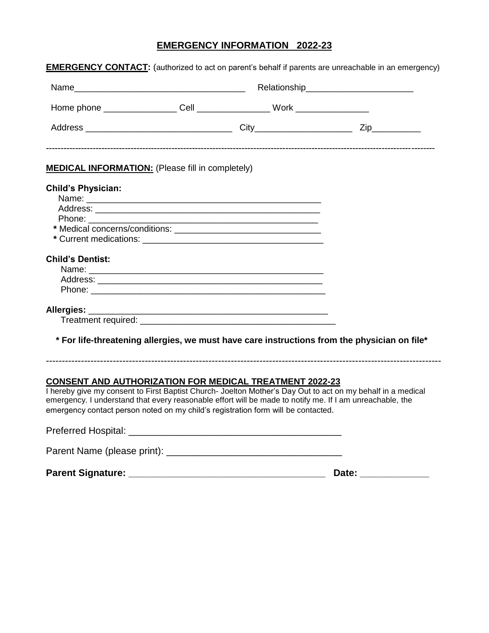### **EMERGENCY INFORMATION 2022-23**

| <b>MEDICAL INFORMATION:</b> (Please fill in completely) |                                                                                              |  |
|---------------------------------------------------------|----------------------------------------------------------------------------------------------|--|
| <b>Child's Physician:</b>                               |                                                                                              |  |
|                                                         |                                                                                              |  |
|                                                         |                                                                                              |  |
|                                                         |                                                                                              |  |
|                                                         |                                                                                              |  |
|                                                         |                                                                                              |  |
| <b>Child's Dentist:</b>                                 |                                                                                              |  |
|                                                         |                                                                                              |  |
|                                                         |                                                                                              |  |
|                                                         |                                                                                              |  |
|                                                         |                                                                                              |  |
|                                                         |                                                                                              |  |
|                                                         |                                                                                              |  |
|                                                         | * For life-threatening allergies, we must have care instructions from the physician on file* |  |
|                                                         |                                                                                              |  |

I hereby give my consent to First Baptist Church- Joelton Mother's Day Out to act on my behalf in a medical emergency. I understand that every reasonable effort will be made to notify me. If I am unreachable, the emergency contact person noted on my child's registration form will be contacted.

| <b>Parent Signature:</b>    | Date: |
|-----------------------------|-------|
| Parent Name (please print): |       |
| <b>Preferred Hospital:</b>  |       |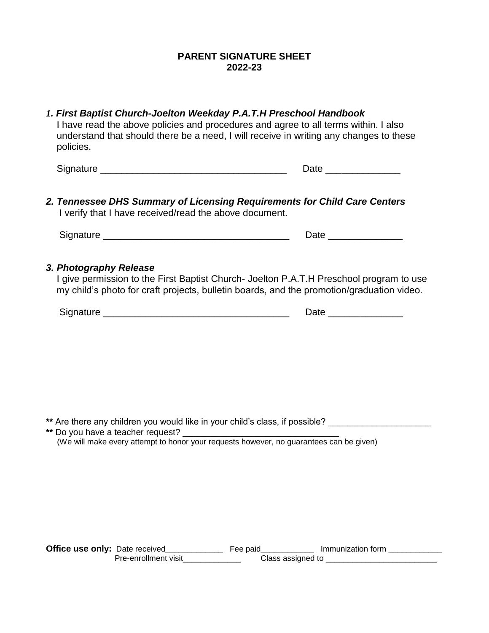#### **PARENT SIGNATURE SHEET 2022-23**

| 1. First Baptist Church-Joelton Weekday P.A.T.H Preschool Handbook<br>I have read the above policies and procedures and agree to all terms within. I also<br>understand that should there be a need, I will receive in writing any changes to these<br>policies. |  |  |  |  |
|------------------------------------------------------------------------------------------------------------------------------------------------------------------------------------------------------------------------------------------------------------------|--|--|--|--|
|                                                                                                                                                                                                                                                                  |  |  |  |  |
| 2. Tennessee DHS Summary of Licensing Requirements for Child Care Centers<br>I verify that I have received/read the above document.                                                                                                                              |  |  |  |  |
|                                                                                                                                                                                                                                                                  |  |  |  |  |
| 3. Photography Release<br>I give permission to the First Baptist Church- Joelton P.A.T.H Preschool program to use<br>my child's photo for craft projects, bulletin boards, and the promotion/graduation video.                                                   |  |  |  |  |
|                                                                                                                                                                                                                                                                  |  |  |  |  |
| ** Are there any children you would like in your child's class, if possible? _______________                                                                                                                                                                     |  |  |  |  |
| (We will make every attempt to honor your requests however, no guarantees can be given)                                                                                                                                                                          |  |  |  |  |
|                                                                                                                                                                                                                                                                  |  |  |  |  |
|                                                                                                                                                                                                                                                                  |  |  |  |  |
|                                                                                                                                                                                                                                                                  |  |  |  |  |

**Office use only:** Date received\_\_\_\_\_\_\_\_\_\_\_\_\_\_\_\_ Fee paid\_\_\_\_\_\_\_\_\_\_\_\_\_\_ Immunization form \_\_\_\_\_\_\_\_\_\_\_\_\_\_ Pre-enrollment visit\_\_\_\_\_\_\_\_\_\_\_\_\_\_\_ Class assigned to \_\_\_\_\_\_\_\_\_\_\_\_\_\_\_\_\_\_\_\_\_\_\_\_\_